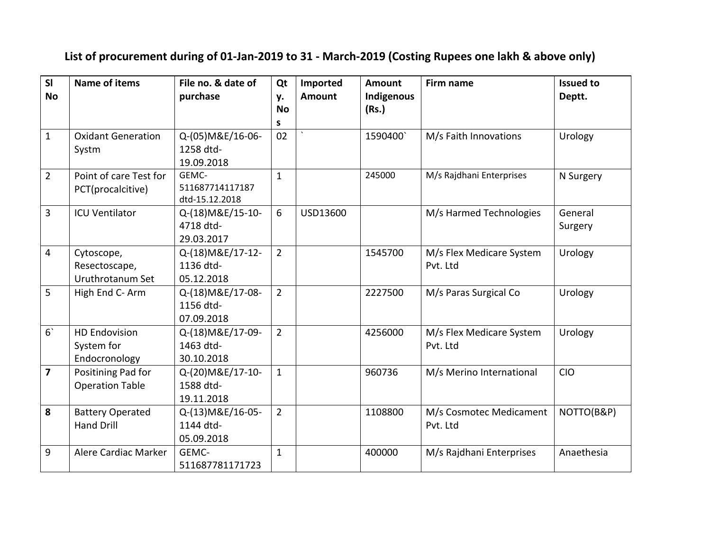## **List of procurement during of 01-Jan-2019 to 31 - March-2019 (Costing Rupees one lakh & above only)**

| SI                      | <b>Name of items</b>      | File no. & date of             | Qt              | Imported      | <b>Amount</b> | Firm name                | <b>Issued to</b> |
|-------------------------|---------------------------|--------------------------------|-----------------|---------------|---------------|--------------------------|------------------|
| <b>No</b>               |                           | purchase                       | у.<br><b>No</b> | <b>Amount</b> | Indigenous    |                          | Deptt.           |
|                         |                           |                                | S               |               | (Rs.)         |                          |                  |
| $\mathbf{1}$            | <b>Oxidant Generation</b> | Q-(05) M&E/16-06-              | 02              |               | 1590400       | M/s Faith Innovations    | Urology          |
|                         | Systm                     | 1258 dtd-                      |                 |               |               |                          |                  |
|                         |                           | 19.09.2018                     |                 |               |               |                          |                  |
| $\overline{2}$          | Point of care Test for    | GEMC-                          | $\mathbf{1}$    |               | 245000        | M/s Rajdhani Enterprises | N Surgery        |
|                         | PCT(procalcitive)         | 511687714117187                |                 |               |               |                          |                  |
|                         |                           | dtd-15.12.2018                 |                 |               |               |                          |                  |
| $\overline{3}$          | <b>ICU Ventilator</b>     | Q-(18) M&E/15-10-              | 6               | USD13600      |               | M/s Harmed Technologies  | General          |
|                         |                           | 4718 dtd-                      |                 |               |               |                          | Surgery          |
|                         |                           | 29.03.2017                     |                 |               |               |                          |                  |
| $\overline{4}$          | Cytoscope,                | Q-(18) M&E/17-12-              | $\overline{2}$  |               | 1545700       | M/s Flex Medicare System | Urology          |
|                         | Resectoscape,             | 1136 dtd-                      |                 |               |               | Pvt. Ltd                 |                  |
|                         | Uruthrotanum Set          | 05.12.2018                     |                 |               |               |                          |                  |
| 5                       | High End C-Arm            | Q-(18) M&E/17-08-              | $\overline{2}$  |               | 2227500       | M/s Paras Surgical Co    | Urology          |
|                         |                           | 1156 dtd-                      |                 |               |               |                          |                  |
|                         |                           | 07.09.2018                     |                 |               |               |                          |                  |
| 6 <sup>1</sup>          | <b>HD Endovision</b>      | Q-(18) M&E/17-09-              | $\overline{2}$  |               | 4256000       | M/s Flex Medicare System | Urology          |
|                         | System for                | 1463 dtd-                      |                 |               |               | Pvt. Ltd                 |                  |
| $\overline{\mathbf{z}}$ | Endocronology             | 30.10.2018                     |                 |               |               |                          |                  |
|                         | Positining Pad for        | Q-(20) M&E/17-10-<br>1588 dtd- | $\mathbf{1}$    |               | 960736        | M/s Merino International | <b>CIO</b>       |
|                         | <b>Operation Table</b>    | 19.11.2018                     |                 |               |               |                          |                  |
| 8                       | <b>Battery Operated</b>   | Q-(13) M&E/16-05-              | $\overline{2}$  |               | 1108800       | M/s Cosmotec Medicament  | NOTTO(B&P)       |
|                         | <b>Hand Drill</b>         | 1144 dtd-                      |                 |               |               | Pvt. Ltd                 |                  |
|                         |                           | 05.09.2018                     |                 |               |               |                          |                  |
| 9                       | Alere Cardiac Marker      | GEMC-                          | $\mathbf{1}$    |               | 400000        | M/s Rajdhani Enterprises | Anaethesia       |
|                         |                           |                                |                 |               |               |                          |                  |
|                         |                           | 511687781171723                |                 |               |               |                          |                  |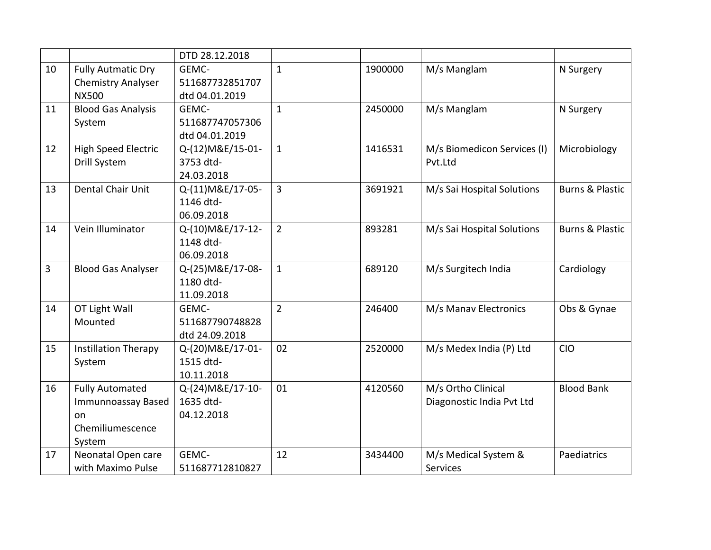|                |                             | DTD 28.12.2018    |                |         |                             |                            |
|----------------|-----------------------------|-------------------|----------------|---------|-----------------------------|----------------------------|
| 10             | <b>Fully Autmatic Dry</b>   | GEMC-             | $\mathbf{1}$   | 1900000 | M/s Manglam                 | N Surgery                  |
|                | <b>Chemistry Analyser</b>   | 511687732851707   |                |         |                             |                            |
|                | <b>NX500</b>                | dtd 04.01.2019    |                |         |                             |                            |
| 11             | <b>Blood Gas Analysis</b>   | GEMC-             | $\mathbf{1}$   | 2450000 | M/s Manglam                 | N Surgery                  |
|                | System                      | 511687747057306   |                |         |                             |                            |
|                |                             | dtd 04.01.2019    |                |         |                             |                            |
| 12             | <b>High Speed Electric</b>  | Q-(12) M&E/15-01- | $\mathbf{1}$   | 1416531 | M/s Biomedicon Services (I) | Microbiology               |
|                | Drill System                | 3753 dtd-         |                |         | Pvt.Ltd                     |                            |
|                |                             | 24.03.2018        |                |         |                             |                            |
| 13             | Dental Chair Unit           | Q-(11) M&E/17-05- | $\overline{3}$ | 3691921 | M/s Sai Hospital Solutions  | <b>Burns &amp; Plastic</b> |
|                |                             | 1146 dtd-         |                |         |                             |                            |
|                |                             | 06.09.2018        |                |         |                             |                            |
| 14             | Vein Illuminator            | Q-(10) M&E/17-12- | $\overline{2}$ | 893281  | M/s Sai Hospital Solutions  | <b>Burns &amp; Plastic</b> |
|                |                             | 1148 dtd-         |                |         |                             |                            |
|                |                             | 06.09.2018        |                |         |                             |                            |
| $\overline{3}$ | <b>Blood Gas Analyser</b>   | Q-(25) M&E/17-08- | $\mathbf{1}$   | 689120  | M/s Surgitech India         | Cardiology                 |
|                |                             | 1180 dtd-         |                |         |                             |                            |
|                |                             | 11.09.2018        |                |         |                             |                            |
| 14             | OT Light Wall               | GEMC-             | $\overline{2}$ | 246400  | M/s Manav Electronics       | Obs & Gynae                |
|                | Mounted                     | 511687790748828   |                |         |                             |                            |
|                |                             | dtd 24.09.2018    |                |         |                             |                            |
| 15             | <b>Instillation Therapy</b> | Q-(20) M&E/17-01- | 02             | 2520000 | M/s Medex India (P) Ltd     | <b>CIO</b>                 |
|                | System                      | 1515 dtd-         |                |         |                             |                            |
|                |                             | 10.11.2018        |                |         |                             |                            |
| 16             | <b>Fully Automated</b>      | Q-(24) M&E/17-10- | 01             | 4120560 | M/s Ortho Clinical          | <b>Blood Bank</b>          |
|                | Immunnoassay Based          | 1635 dtd-         |                |         | Diagonostic India Pvt Ltd   |                            |
|                | on                          | 04.12.2018        |                |         |                             |                            |
|                | Chemiliumescence            |                   |                |         |                             |                            |
|                | System                      |                   |                |         |                             |                            |
| 17             | Neonatal Open care          | GEMC-             | 12             | 3434400 | M/s Medical System &        | Paediatrics                |
|                | with Maximo Pulse           | 511687712810827   |                |         | Services                    |                            |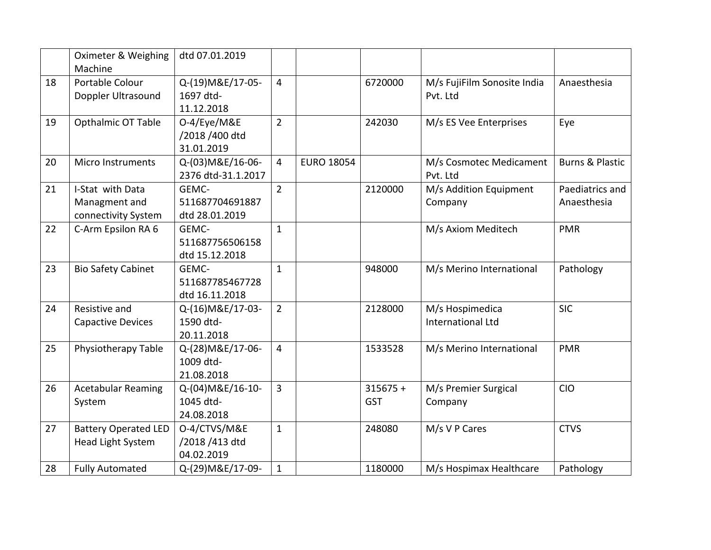|    | Oximeter & Weighing         | dtd 07.01.2019     |                |                   |            |                             |                            |
|----|-----------------------------|--------------------|----------------|-------------------|------------|-----------------------------|----------------------------|
|    | Machine                     |                    |                |                   |            |                             |                            |
| 18 | Portable Colour             | Q-(19) M&E/17-05-  | $\overline{4}$ |                   | 6720000    | M/s FujiFilm Sonosite India | Anaesthesia                |
|    | Doppler Ultrasound          | 1697 dtd-          |                |                   |            | Pvt. Ltd                    |                            |
|    |                             | 11.12.2018         |                |                   |            |                             |                            |
| 19 | Opthalmic OT Table          | O-4/Eye/M&E        | $\overline{2}$ |                   | 242030     | M/s ES Vee Enterprises      | Eye                        |
|    |                             | /2018 /400 dtd     |                |                   |            |                             |                            |
|    |                             | 31.01.2019         |                |                   |            |                             |                            |
| 20 | Micro Instruments           | Q-(03) M&E/16-06-  | $\overline{4}$ | <b>EURO 18054</b> |            | M/s Cosmotec Medicament     | <b>Burns &amp; Plastic</b> |
|    |                             | 2376 dtd-31.1.2017 |                |                   |            | Pvt. Ltd                    |                            |
| 21 | I-Stat with Data            | GEMC-              | $\overline{2}$ |                   | 2120000    | M/s Addition Equipment      | Paediatrics and            |
|    | Managment and               | 511687704691887    |                |                   |            | Company                     | Anaesthesia                |
|    | connectivity System         | dtd 28.01.2019     |                |                   |            |                             |                            |
| 22 | C-Arm Epsilon RA 6          | GEMC-              | $\mathbf{1}$   |                   |            | M/s Axiom Meditech          | <b>PMR</b>                 |
|    |                             | 511687756506158    |                |                   |            |                             |                            |
|    |                             | dtd 15.12.2018     |                |                   |            |                             |                            |
| 23 | <b>Bio Safety Cabinet</b>   | GEMC-              | $\mathbf{1}$   |                   | 948000     | M/s Merino International    | Pathology                  |
|    |                             | 511687785467728    |                |                   |            |                             |                            |
|    |                             | dtd 16.11.2018     |                |                   |            |                             |                            |
| 24 | Resistive and               | Q-(16) M&E/17-03-  | $\overline{2}$ |                   | 2128000    | M/s Hospimedica             | <b>SIC</b>                 |
|    | <b>Capactive Devices</b>    | 1590 dtd-          |                |                   |            | International Ltd           |                            |
|    |                             | 20.11.2018         |                |                   |            |                             |                            |
| 25 | Physiotherapy Table         | Q-(28) M&E/17-06-  | $\overline{4}$ |                   | 1533528    | M/s Merino International    | <b>PMR</b>                 |
|    |                             | 1009 dtd-          |                |                   |            |                             |                            |
|    |                             | 21.08.2018         |                |                   |            |                             |                            |
| 26 | <b>Acetabular Reaming</b>   | Q-(04) M&E/16-10-  | $\overline{3}$ |                   | $315675 +$ | M/s Premier Surgical        | <b>CIO</b>                 |
|    | System                      | 1045 dtd-          |                |                   | GST        | Company                     |                            |
|    |                             | 24.08.2018         |                |                   |            |                             |                            |
| 27 | <b>Battery Operated LED</b> | O-4/CTVS/M&E       | $\mathbf{1}$   |                   | 248080     | M/s V P Cares               | <b>CTVS</b>                |
|    | <b>Head Light System</b>    | /2018 /413 dtd     |                |                   |            |                             |                            |
|    |                             | 04.02.2019         |                |                   |            |                             |                            |
| 28 | <b>Fully Automated</b>      | Q-(29) M&E/17-09-  | $\mathbf{1}$   |                   | 1180000    | M/s Hospimax Healthcare     | Pathology                  |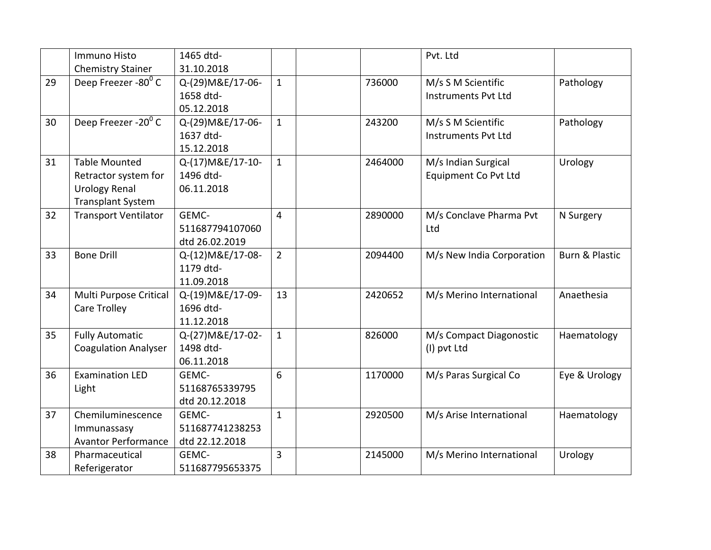|    | Immuno Histo                      | 1465 dtd-         |                |         | Pvt. Ltd                   |                           |
|----|-----------------------------------|-------------------|----------------|---------|----------------------------|---------------------------|
|    | <b>Chemistry Stainer</b>          | 31.10.2018        |                |         |                            |                           |
| 29 | Deep Freezer -80°C                | Q-(29) M&E/17-06- | $\mathbf{1}$   | 736000  | M/s S M Scientific         | Pathology                 |
|    |                                   | 1658 dtd-         |                |         | <b>Instruments Pvt Ltd</b> |                           |
|    |                                   | 05.12.2018        |                |         |                            |                           |
| 30 | Deep Freezer -20 $\overline{0}$ C | Q-(29) M&E/17-06- | $\mathbf{1}$   | 243200  | M/s S M Scientific         | Pathology                 |
|    |                                   | 1637 dtd-         |                |         | <b>Instruments Pvt Ltd</b> |                           |
|    |                                   | 15.12.2018        |                |         |                            |                           |
| 31 | <b>Table Mounted</b>              | Q-(17) M&E/17-10- | $\mathbf{1}$   | 2464000 | M/s Indian Surgical        | Urology                   |
|    | Retractor system for              | 1496 dtd-         |                |         | Equipment Co Pvt Ltd       |                           |
|    | <b>Urology Renal</b>              | 06.11.2018        |                |         |                            |                           |
|    | <b>Transplant System</b>          |                   |                |         |                            |                           |
| 32 | <b>Transport Ventilator</b>       | GEMC-             | 4              | 2890000 | M/s Conclave Pharma Pvt    | N Surgery                 |
|    |                                   | 511687794107060   |                |         | Ltd                        |                           |
|    |                                   | dtd 26.02.2019    |                |         |                            |                           |
| 33 | <b>Bone Drill</b>                 | Q-(12)M&E/17-08-  | $\overline{2}$ | 2094400 | M/s New India Corporation  | <b>Burn &amp; Plastic</b> |
|    |                                   | 1179 dtd-         |                |         |                            |                           |
|    |                                   | 11.09.2018        |                |         |                            |                           |
| 34 | Multi Purpose Critical            | Q-(19) M&E/17-09- | 13             | 2420652 | M/s Merino International   | Anaethesia                |
|    | Care Trolley                      | 1696 dtd-         |                |         |                            |                           |
|    |                                   | 11.12.2018        |                |         |                            |                           |
| 35 | <b>Fully Automatic</b>            | Q-(27) M&E/17-02- | $\mathbf{1}$   | 826000  | M/s Compact Diagonostic    | Haematology               |
|    | <b>Coagulation Analyser</b>       | 1498 dtd-         |                |         | (I) pvt Ltd                |                           |
|    |                                   | 06.11.2018        |                |         |                            |                           |
| 36 | <b>Examination LED</b>            | GEMC-             | 6              | 1170000 | M/s Paras Surgical Co      | Eye & Urology             |
|    | Light                             | 51168765339795    |                |         |                            |                           |
|    |                                   | dtd 20.12.2018    |                |         |                            |                           |
| 37 | Chemiluminescence                 | GEMC-             | $\mathbf{1}$   | 2920500 | M/s Arise International    | Haematology               |
|    | Immunassasy                       | 511687741238253   |                |         |                            |                           |
|    | <b>Avantor Performance</b>        | dtd 22.12.2018    |                |         |                            |                           |
| 38 | Pharmaceutical                    | GEMC-             | 3              | 2145000 | M/s Merino International   | Urology                   |
|    | Referigerator                     | 511687795653375   |                |         |                            |                           |